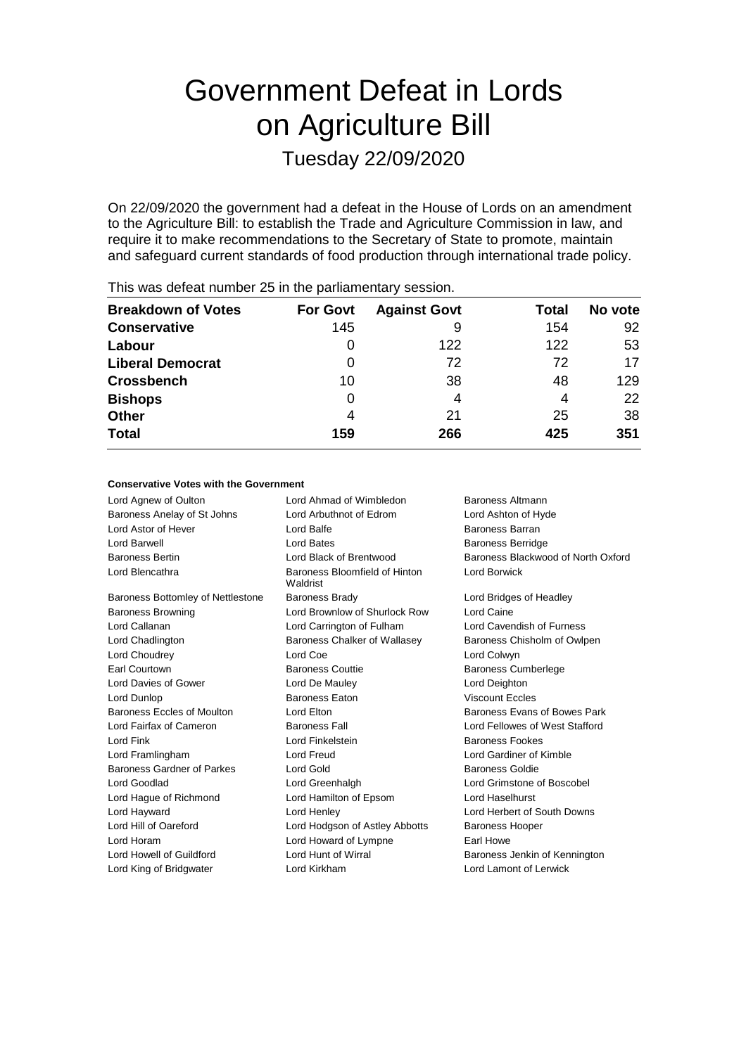# Government Defeat in Lords on Agriculture Bill

Tuesday 22/09/2020

On 22/09/2020 the government had a defeat in the House of Lords on an amendment to the Agriculture Bill: to establish the Trade and Agriculture Commission in law, and require it to make recommendations to the Secretary of State to promote, maintain and safeguard current standards of food production through international trade policy.

| <b>Breakdown of Votes</b> | <b>For Govt</b> | <b>Against Govt</b> | Total | No vote |
|---------------------------|-----------------|---------------------|-------|---------|
| <b>Conservative</b>       | 145             | 9                   | 154   | 92      |
| Labour                    | O               | 122                 | 122   | 53      |
| <b>Liberal Democrat</b>   | 0               | 72                  | 72    | 17      |
| <b>Crossbench</b>         | 10              | 38                  | 48    | 129     |
| <b>Bishops</b>            | 0               | 4                   | 4     | 22      |
| <b>Other</b>              | 4               | 21                  | 25    | 38      |
| <b>Total</b>              | 159             | 266                 | 425   | 351     |
|                           |                 |                     |       |         |

This was defeat number 25 in the parliamentary session.

### **Conservative Votes with the Government**

| Lord Agnew of Oulton              | Lord Ahmad of Wimbledon                   | Baroness Altmann                   |
|-----------------------------------|-------------------------------------------|------------------------------------|
| Baroness Anelay of St Johns       | Lord Arbuthnot of Edrom                   | Lord Ashton of Hyde                |
| Lord Astor of Hever               | Lord Balfe                                | Baroness Barran                    |
| Lord Barwell                      | Lord Bates                                | <b>Baroness Berridge</b>           |
| <b>Baroness Bertin</b>            | Lord Black of Brentwood                   | Baroness Blackwood of North Oxford |
| Lord Blencathra                   | Baroness Bloomfield of Hinton<br>Waldrist | Lord Borwick                       |
| Baroness Bottomley of Nettlestone | <b>Baroness Brady</b>                     | Lord Bridges of Headley            |
| <b>Baroness Browning</b>          | Lord Brownlow of Shurlock Row             | Lord Caine                         |
| Lord Callanan                     | Lord Carrington of Fulham                 | Lord Cavendish of Furness          |
| Lord Chadlington                  | Baroness Chalker of Wallasey              | Baroness Chisholm of Owlpen        |
| Lord Choudrey                     | Lord Coe                                  | Lord Colwyn                        |
| Earl Courtown                     | <b>Baroness Couttie</b>                   | <b>Baroness Cumberlege</b>         |
| Lord Davies of Gower              | Lord De Mauley                            | Lord Deighton                      |
| Lord Dunlop                       | <b>Baroness Eaton</b>                     | <b>Viscount Eccles</b>             |
| Baroness Eccles of Moulton        | Lord Elton                                | Baroness Evans of Bowes Park       |
| Lord Fairfax of Cameron           | <b>Baroness Fall</b>                      | Lord Fellowes of West Stafford     |
| Lord Fink                         | Lord Finkelstein                          | <b>Baroness Fookes</b>             |
| Lord Framlingham                  | Lord Freud                                | Lord Gardiner of Kimble            |
| Baroness Gardner of Parkes        | Lord Gold                                 | Baroness Goldie                    |
| Lord Goodlad                      | Lord Greenhalgh                           | Lord Grimstone of Boscobel         |
| Lord Hague of Richmond            | Lord Hamilton of Epsom                    | Lord Haselhurst                    |
| Lord Hayward                      | Lord Henley                               | Lord Herbert of South Downs        |
| Lord Hill of Oareford             | Lord Hodgson of Astley Abbotts            | <b>Baroness Hooper</b>             |
| Lord Horam                        | Lord Howard of Lympne                     | Earl Howe                          |
| Lord Howell of Guildford          | Lord Hunt of Wirral                       | Baroness Jenkin of Kennington      |
| Lord King of Bridgwater           | Lord Kirkham                              | Lord Lamont of Lerwick             |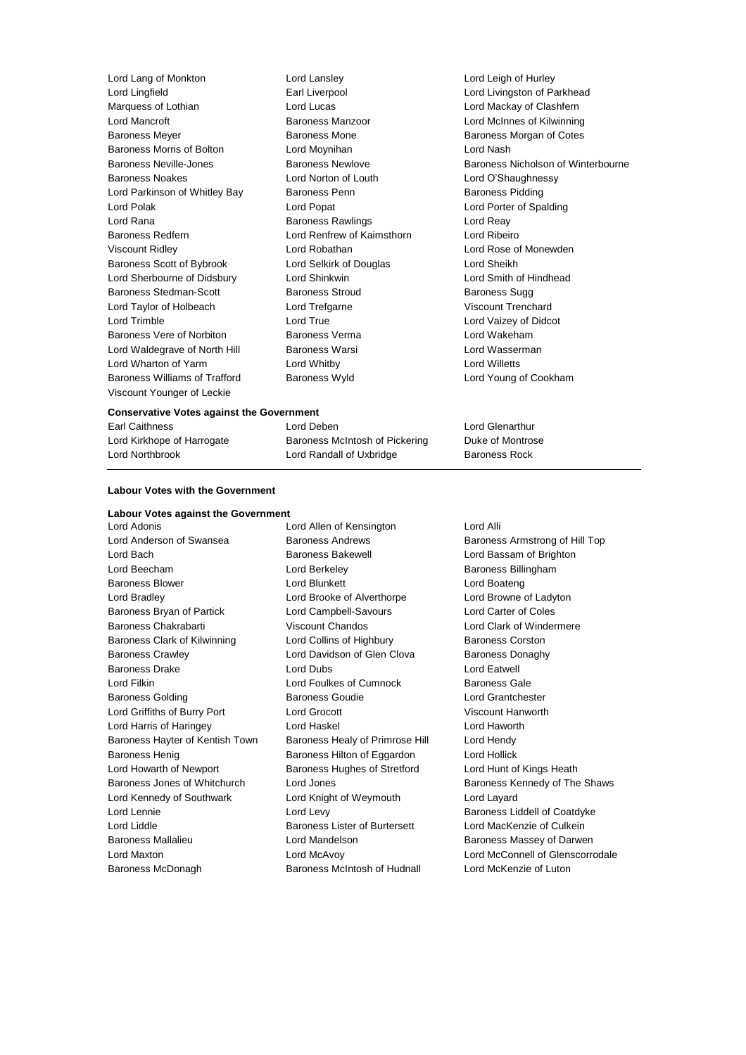| Lord Lang of Monkton          | Lord Lansley               | Lord Leigh of Hurley               |
|-------------------------------|----------------------------|------------------------------------|
| Lord Lingfield                | Earl Liverpool             | Lord Livingston of Parkhead        |
| Marquess of Lothian           | Lord Lucas                 | Lord Mackay of Clashfern           |
| Lord Mancroft                 | Baroness Manzoor           | Lord McInnes of Kilwinning         |
| <b>Baroness Meyer</b>         | <b>Baroness Mone</b>       | Baroness Morgan of Cotes           |
| Baroness Morris of Bolton     | Lord Moynihan              | Lord Nash                          |
| Baroness Neville-Jones        | <b>Baroness Newlove</b>    | Baroness Nicholson of Winterbourne |
| <b>Baroness Noakes</b>        | Lord Norton of Louth       | Lord O'Shaughnessy                 |
| Lord Parkinson of Whitley Bay | Baroness Penn              | <b>Baroness Pidding</b>            |
| Lord Polak                    | Lord Popat                 | Lord Porter of Spalding            |
| Lord Rana                     | <b>Baroness Rawlings</b>   | Lord Reay                          |
| <b>Baroness Redfern</b>       | Lord Renfrew of Kaimsthorn | Lord Ribeiro                       |
| <b>Viscount Ridley</b>        | Lord Robathan              | Lord Rose of Monewden              |
| Baroness Scott of Bybrook     | Lord Selkirk of Douglas    | Lord Sheikh                        |
| Lord Sherbourne of Didsbury   | Lord Shinkwin              | Lord Smith of Hindhead             |
| Baroness Stedman-Scott        | Baroness Stroud            | <b>Baroness Sugg</b>               |
| Lord Taylor of Holbeach       | Lord Trefgarne             | Viscount Trenchard                 |
| Lord Trimble                  | Lord True                  | Lord Vaizey of Didcot              |
| Baroness Vere of Norbiton     | Baroness Verma             | Lord Wakeham                       |
| Lord Waldegrave of North Hill | <b>Baroness Warsi</b>      | Lord Wasserman                     |
| Lord Wharton of Yarm          | Lord Whitby                | Lord Willetts                      |
| Baroness Williams of Trafford | Baroness Wyld              | Lord Young of Cookham              |
| Viscount Younger of Leckie    |                            |                                    |
|                               |                            |                                    |

### **Conservative Votes against the Government**

| Earl Caithness             | Lord Deben                     | Lord Glenarthur      |
|----------------------------|--------------------------------|----------------------|
| Lord Kirkhope of Harrogate | Baroness McIntosh of Pickering | Duke of Montrose     |
| Lord Northbrook            | Lord Randall of Uxbridge       | <b>Baroness Rock</b> |

### **Labour Votes with the Government**

### **Labour Votes against the Government**

Lord Anderson of Swansea **Baroness Andrews** Baroness Armstrong of Hill Top Lord Bach **Baroness Bakewell Baroness Bakewell Lord Bassam of Brighton** Lord Beecham **Lord Berkeley Baroness Billingham** Baroness Blower **Lord Blunkett** Lord Boateng Lord Boateng Lord Bradley Lord Brooke of Alverthorpe Lord Browne of Ladyton Baroness Bryan of Partick Lord Campbell-Savours Lord Carter of Coles Baroness Chakrabarti **Viscount Chandos** Chandos Lord Clark of Windermere Baroness Clark of Kilwinning Lord Collins of Highbury Baroness Corston Baroness Crawley Lord Davidson of Glen Clova Baroness Donaghy Baroness Drake Lord Dubs Lord Eatwell Lord Filkin Lord Foulkes of Cumnock Baroness Gale Baroness Golding **Baroness Goudie Containers Goudie** Lord Grantchester Lord Griffiths of Burry Port Lord Grocott Viscount Hanworth Lord Harris of Haringey Lord Haskel Lord Haworth Baroness Hayter of Kentish Town Baroness Healy of Primrose Hill Lord Hendy Baroness Henig Baroness Hilton of Eggardon Lord Hollick Lord Howarth of Newport **Baroness Hughes of Stretford** Lord Hunt of Kings Heath Lord Kennedy of Southwark Lord Knight of Weymouth Lord Layard Lord Lennie **Lord Levy** Lord Levy **Baroness Liddell of Coatdyke** Lord Liddle **Baroness Lister of Burtersett** Lord MacKenzie of Culkein Baroness Mallalieu Lord Mandelson Baroness Massey of Darwen Baroness McDonagh Baroness McIntosh of Hudnall Lord McKenzie of Luton

Lord Adonis Lord Allen of Kensington Lord Alli

Baroness Jones of Whitchurch Lord Jones **Baroness Kennedy of The Shaws** Lord Maxton Lord McAvoy Lord McConnell of Glenscorrodale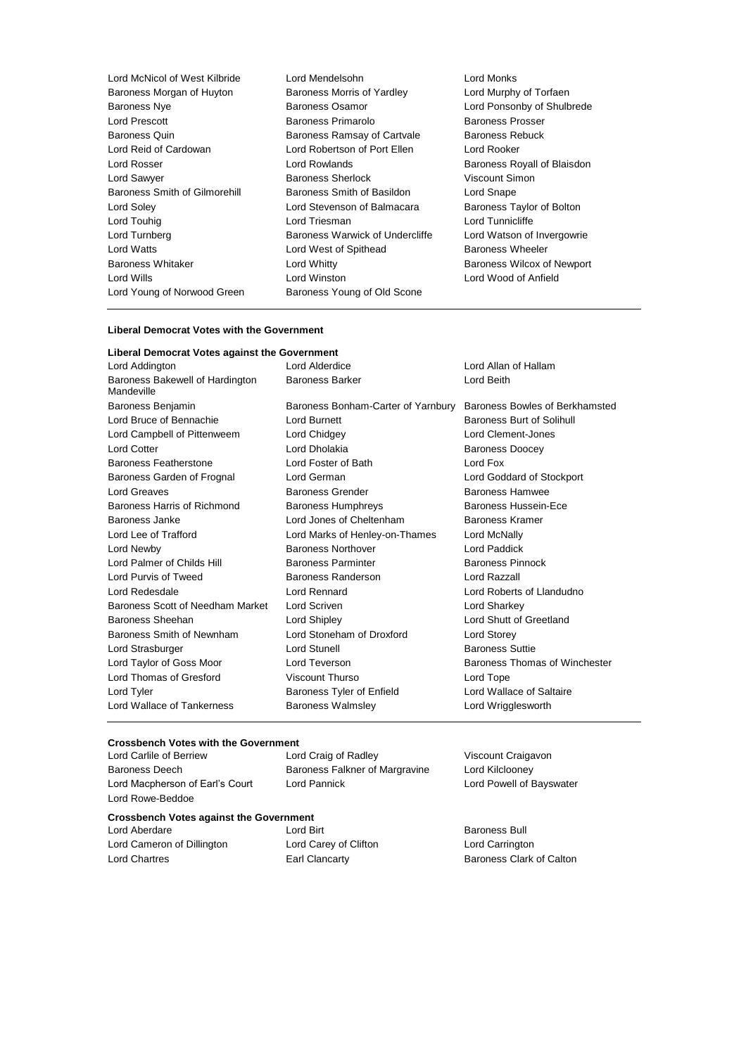| Lord McNicol of West Kilbride | Lord Mendelsohn                 | Lord Monks             |
|-------------------------------|---------------------------------|------------------------|
| Baroness Morgan of Huyton     | Baroness Morris of Yardley      | Lord Murphy of Tor     |
| <b>Baroness Nye</b>           | <b>Baroness Osamor</b>          | Lord Ponsonby of S     |
| Lord Prescott                 | <b>Baroness Primarolo</b>       | Baroness Prosser       |
| Baroness Quin                 | Baroness Ramsay of Cartvale     | <b>Baroness Rebuck</b> |
| Lord Reid of Cardowan         | Lord Robertson of Port Ellen    | Lord Rooker            |
| Lord Rosser                   | Lord Rowlands                   | Baroness Royall of     |
| Lord Sawyer                   | <b>Baroness Sherlock</b>        | Viscount Simon         |
| Baroness Smith of Gilmorehill | Baroness Smith of Basildon      | Lord Snape             |
| Lord Soley                    | Lord Stevenson of Balmacara     | Baroness Taylor of     |
| Lord Touhig                   | Lord Triesman                   | Lord Tunnicliffe       |
| Lord Turnberg                 | Baroness Warwick of Undercliffe | Lord Watson of Inv     |
| <b>Lord Watts</b>             | Lord West of Spithead           | Baroness Wheeler       |
| <b>Baroness Whitaker</b>      | Lord Whitty                     | Baroness Wilcox of     |
| Lord Wills                    | Lord Winston                    | Lord Wood of Anfie     |
| Lord Young of Norwood Green   | Baroness Young of Old Scone     |                        |

## rphy of Torfaen isonby of Shulbrede<br>s Prosser s Royall of Blaisdon<br>Simon Taylor of Bolton tson of Invergowrie Wilcox of Newport od of Anfield

### **Liberal Democrat Votes with the Government**

### **Liberal Democrat Votes against the Government**

| Lord Addington                                | Lord Alderdice                     | Lord Allan of Hallam           |
|-----------------------------------------------|------------------------------------|--------------------------------|
| Baroness Bakewell of Hardington<br>Mandeville | <b>Baroness Barker</b>             | Lord Beith                     |
| Baroness Benjamin                             | Baroness Bonham-Carter of Yarnbury | Baroness Bowles of Berkhamsted |
| Lord Bruce of Bennachie                       | Lord Burnett                       | Baroness Burt of Solihull      |
| Lord Campbell of Pittenweem                   | Lord Chidgey                       | Lord Clement-Jones             |
| Lord Cotter                                   | Lord Dholakia                      | <b>Baroness Doocey</b>         |
| Baroness Featherstone                         | Lord Foster of Bath                | Lord Fox                       |
| Baroness Garden of Frognal                    | Lord German                        | Lord Goddard of Stockport      |
| Lord Greaves                                  | Baroness Grender                   | Baroness Hamwee                |
| Baroness Harris of Richmond                   | <b>Baroness Humphreys</b>          | Baroness Hussein-Ece           |
| Baroness Janke                                | Lord Jones of Cheltenham           | Baroness Kramer                |
| Lord Lee of Trafford                          | Lord Marks of Henley-on-Thames     | Lord McNally                   |
| Lord Newby                                    | <b>Baroness Northover</b>          | Lord Paddick                   |
| Lord Palmer of Childs Hill                    | <b>Baroness Parminter</b>          | <b>Baroness Pinnock</b>        |
| Lord Purvis of Tweed                          | Baroness Randerson                 | Lord Razzall                   |
| Lord Redesdale                                | Lord Rennard                       | Lord Roberts of Llandudno      |
| Baroness Scott of Needham Market              | Lord Scriven                       | Lord Sharkey                   |
| Baroness Sheehan                              | Lord Shipley                       | Lord Shutt of Greetland        |
| Baroness Smith of Newnham                     | Lord Stoneham of Droxford          | Lord Storey                    |
| Lord Strasburger                              | <b>Lord Stunell</b>                | <b>Baroness Suttie</b>         |
| Lord Taylor of Goss Moor                      | Lord Teverson                      | Baroness Thomas of Winchester  |
| Lord Thomas of Gresford                       | Viscount Thurso                    | Lord Tope                      |
| Lord Tyler                                    | Baroness Tyler of Enfield          | Lord Wallace of Saltaire       |
| Lord Wallace of Tankerness                    | <b>Baroness Walmsley</b>           | Lord Wrigglesworth             |
|                                               |                                    |                                |

### **Crossbench Votes with the Government**

Baroness Deech Baroness Falkner of Margravine Lord Kilclooney Lord Macpherson of Earl's Court Lord Pannick Lord Powell of Bayswater Lord Rowe-Beddoe

Lord Carlile of Berriew Lord Craig of Radley Viscount Craigavon

### **Crossbench Votes against the Government**

Lord Aberdare **Lord Birt Constanting Lord Birt** Baroness Bull Lord Cameron of Dillington Lord Carey of Clifton Lord Carrington Lord Chartres Earl Clancarty Baroness Clark of Calton